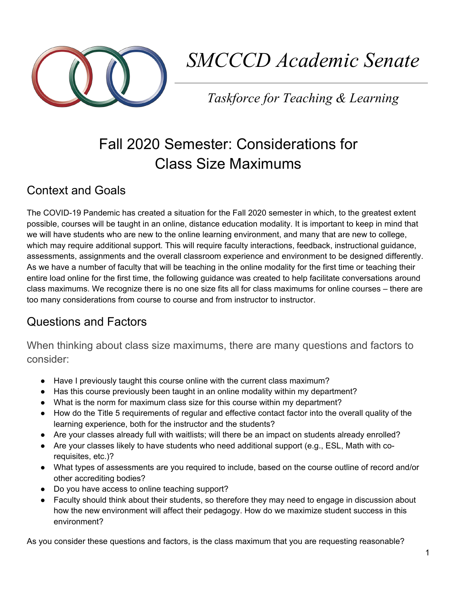

# *SMCCCD Academic Senate*

*Taskforce for Teaching & Learning*

# Fall 2020 Semester: Considerations for Class Size Maximums

## Context and Goals

The COVID-19 Pandemic has created a situation for the Fall 2020 semester in which, to the greatest extent possible, courses will be taught in an online, distance education modality. It is important to keep in mind that we will have students who are new to the online learning environment, and many that are new to college, which may require additional support. This will require faculty interactions, feedback, instructional guidance, assessments, assignments and the overall classroom experience and environment to be designed differently. As we have a number of faculty that will be teaching in the online modality for the first time or teaching their entire load online for the first time, the following guidance was created to help facilitate conversations around class maximums. We recognize there is no one size fits all for class maximums for online courses – there are too many considerations from course to course and from instructor to instructor.

### Questions and Factors

When thinking about class size maximums, there are many questions and factors to consider:

- Have I previously taught this course online with the current class maximum?
- Has this course previously been taught in an online modality within my department?
- What is the norm for maximum class size for this course within my department?
- How do the Title 5 requirements of regular and effective contact factor into the overall quality of the learning experience, both for the instructor and the students?
- Are your classes already full with waitlists; will there be an impact on students already enrolled?
- Are your classes likely to have students who need additional support (e.g., ESL, Math with corequisites, etc.)?
- What types of assessments are you required to include, based on the course outline of record and/or other accrediting bodies?
- Do you have access to online teaching support?
- Faculty should think about their students, so therefore they may need to engage in discussion about how the new environment will affect their pedagogy. How do we maximize student success in this environment?

As you consider these questions and factors, is the class maximum that you are requesting reasonable?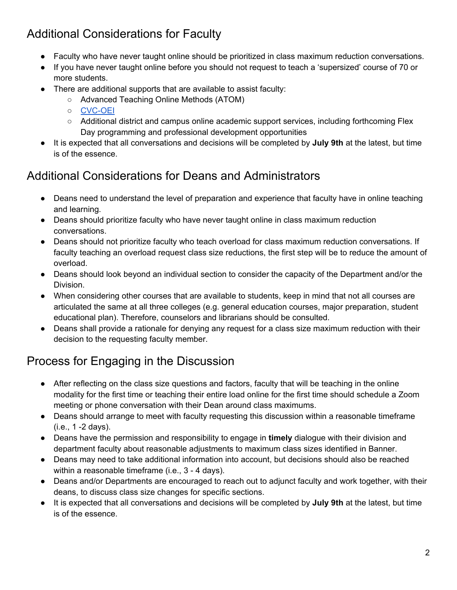# Additional Considerations for Faculty

- Faculty who have never taught online should be prioritized in class maximum reduction conversations.
- If you have never taught online before you should not request to teach a 'supersized' course of 70 or more students.
- There are additional supports that are available to assist faculty:
	- Advanced Teaching Online Methods (ATOM)
	- [CVC-OEI](https://cvc.edu/professional-development/)
	- Additional district and campus online academic support services, including forthcoming Flex Day programming and professional development opportunities
- It is expected that all conversations and decisions will be completed by **July 9th** at the latest, but time is of the essence.

### Additional Considerations for Deans and Administrators

- Deans need to understand the level of preparation and experience that faculty have in online teaching and learning.
- Deans should prioritize faculty who have never taught online in class maximum reduction conversations.
- Deans should not prioritize faculty who teach overload for class maximum reduction conversations. If faculty teaching an overload request class size reductions, the first step will be to reduce the amount of overload.
- Deans should look beyond an individual section to consider the capacity of the Department and/or the Division.
- When considering other courses that are available to students, keep in mind that not all courses are articulated the same at all three colleges (e.g. general education courses, major preparation, student educational plan). Therefore, counselors and librarians should be consulted.
- Deans shall provide a rationale for denying any request for a class size maximum reduction with their decision to the requesting faculty member.

# Process for Engaging in the Discussion

- After reflecting on the class size questions and factors, faculty that will be teaching in the online modality for the first time or teaching their entire load online for the first time should schedule a Zoom meeting or phone conversation with their Dean around class maximums.
- Deans should arrange to meet with faculty requesting this discussion within a reasonable timeframe (i.e., 1 -2 days).
- Deans have the permission and responsibility to engage in **timely** dialogue with their division and department faculty about reasonable adjustments to maximum class sizes identified in Banner.
- Deans may need to take additional information into account, but decisions should also be reached within a reasonable timeframe (i.e., 3 - 4 days).
- Deans and/or Departments are encouraged to reach out to adjunct faculty and work together, with their deans, to discuss class size changes for specific sections.
- It is expected that all conversations and decisions will be completed by **July 9th** at the latest, but time is of the essence.